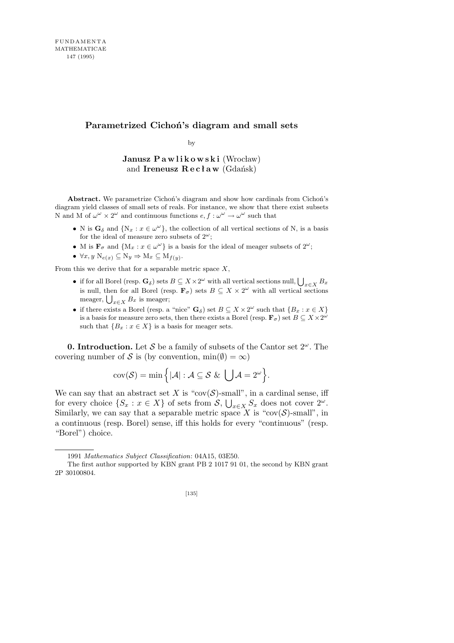## **Parametrized Cichoń's diagram and small sets**

by

Janusz Pawlikowski (Wrocław) and **Ireneusz Recław** (Gdańsk)

**Abstract.** We parametrize Cichoń's diagram and show how cardinals from Cichoń's diagram yield classes of small sets of reals. For instance, we show that there exist subsets N and M of  $\omega^{\omega} \times 2^{\omega}$  and continuous functions  $e, f : \omega^{\omega} \to \omega^{\omega}$  such that

- N is  $\mathbf{G}_{\delta}$  and  $\{N_x : x \in \omega^{\omega}\}\$ , the collection of all vertical sections of N, is a basis for the ideal of measure zero subsets of  $2^{\omega}$ ;
- M is  $\mathbf{F}_{\sigma}$  and  $\{M_x : x \in \omega^{\omega}\}\$ is a basis for the ideal of meager subsets of  $2^{\omega}$ ;
- *∀x, y* N*e*(*x*) *⊆* N*<sup>y</sup> ⇒* M*<sup>x</sup> ⊆* M*f*(*y*) .

From this we derive that for a separable metric space *X*,

- if for all Borel (resp.  $\mathbf{G}_{\delta}$ ) sets  $B \subseteq X \times 2^{\omega}$  with all vertical sections null,  $\bigcup_{x \in X} B_x$ is null, then for all Borel (resp.  $\mathbf{F}_{\sigma}$ ) sets  $B \subseteq X \times 2^{\omega}$  with all vertical sections is null, then for all Borel (responsively) meager;  $\bigcup_{x \in X} B_x$  is meager;
- $\bullet$  if there exists a Borel (resp. a "nice"  $\mathbf{G}_{\delta}$ ) set  $B \subseteq X \times 2^{\omega}$  such that  $\{B_x : x \in X\}$ is a basis for measure zero sets, then there exists a Borel (resp.  $\mathbf{F}_{\sigma}$ ) set  $B \subseteq X \times 2^{\omega}$ such that  ${B_x : x \in X}$  is a basis for meager sets.

**0. Introduction.** Let *S* be a family of subsets of the Cantor set 2*<sup>ω</sup>*. The covering number of *S* is (by convention,  $min(\emptyset) = \infty$ )

$$
cov(\mathcal{S}) = min \Big\{ |\mathcal{A}| : \mathcal{A} \subseteq \mathcal{S} \& \bigcup \mathcal{A} = 2^{\omega} \Big\}.
$$

We can say that an abstract set *X* is "cov( $S$ )-small", in a cardinal sense, iff for every choice  $\{S_x : x \in X\}$  of sets from  $S$ ,  $\bigcup_{x \in X} S_x$  does not cover  $2^{\omega}$ . Similarly, we can say that a separable metric space *X* is "cov( $S$ )-small", in a continuous (resp. Borel) sense, iff this holds for every "continuous" (resp. "Borel") choice.

<sup>1991</sup> *Mathematics Subject Classification*: 04A15, 03E50.

The first author supported by KBN grant PB 2 1017 91 01, the second by KBN grant 2P 30100804.

<sup>[135]</sup>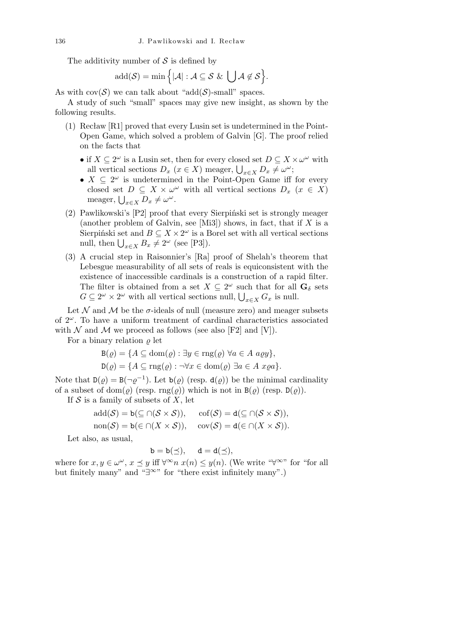The additivity number of *S* is defined by

$$
add(\mathcal{S}) = \min \Big\{ |\mathcal{A}| : \mathcal{A} \subseteq \mathcal{S} \& \bigcup \mathcal{A} \not\in \mathcal{S} \Big\}.
$$

As with  $cov(S)$  we can talk about "add( $S$ )-small" spaces.

A study of such "small" spaces may give new insight, as shown by the following results.

- (1) Recław [R1] proved that every Lusin set is undetermined in the Point-Open Game, which solved a problem of Galvin [G]. The proof relied on the facts that
	- if  $X \subseteq 2^{\omega}$  is a Lusin set, then for every closed set  $D \subseteq X \times \omega^{\omega}$  with  $D_x$  (*x*  $\in$  *X*) meager,  $\bigcup_{x \in X} D_x \neq \omega^\omega$ ;<br>all vertical sections  $D_x$  (*x*  $\in$  *X*) meager,  $\bigcup_{x \in X} D_x \neq \omega^\omega$ ;
	- $X \subseteq 2^{\omega}$  is undetermined in the Point-Open Game iff for every closed set  $D \subseteq X \times \omega^{\omega}$  with all vertical sections  $D_x$  ( $x \in X$ )  $\text{medge}$ ,  $\bigcup_{x \in X} D_x \neq \omega^\omega$ .
- (2) Pawlikowski's [P2] proof that every Sierpiński set is strongly meager (another problem of Galvin, see [Mi3]) shows, in fact, that if *X* is a Sierpiński set and  $B \subseteq X \times 2^{\omega}$  is a Borel set with all vertical sections  $\text{Sierpinski set and } D \subseteq X \times Z^* \text{ is a r.}$ <br>  $\text{null, then } \bigcup_{x \in X} B_x \neq 2^\omega \text{ (see [P3])}.$
- (3) A crucial step in Raisonnier's [Ra] proof of Shelah's theorem that Lebesgue measurability of all sets of reals is equiconsistent with the existence of inaccessible cardinals is a construction of a rapid filter. The filter is obtained from a set  $X \subseteq 2^{\omega}$  such that for all  $\mathbf{G}_{\delta}$  sets *G*  $\subseteq$   $2^{\omega} \times 2^{\omega}$  with all vertical sections null,  $\bigcup_{x \in X} G_x$  is null.

Let  $N$  and  $M$  be the  $\sigma$ -ideals of null (measure zero) and meager subsets of 2*<sup>ω</sup>*. To have a uniform treatment of cardinal characteristics associated with  $\mathcal N$  and  $\mathcal M$  we proceed as follows (see also [F2] and [V]).

For a binary relation  $\rho$  let

$$
B(\varrho) = \{ A \subseteq \text{dom}(\varrho) : \exists y \in \text{rng}(\varrho) \,\,\forall a \in A \,\, a \varrho y \},
$$

$$
D(\varrho) = \{ A \subseteq \text{rng}(\varrho) : \neg \forall x \in \text{dom}(\varrho) \,\, \exists a \in A \,\, x \varrho a \}.
$$

Note that  $D(\varrho) = B(\neg \varrho^{-1})$ . Let  $b(\varrho)$  (resp.  $d(\varrho)$ ) be the minimal cardinality of a subset of dom( $\varrho$ ) (resp. rng( $\varrho$ )) which is not in  $B(\varrho)$  (resp.  $D(\varrho)$ ).

If *S* is a family of subsets of *X*, let

$$
\mathrm{add}(\mathcal{S}) = \mathbf{b}(\subseteq \cap (\mathcal{S} \times \mathcal{S})), \quad \mathrm{cof}(\mathcal{S}) = \mathbf{d}(\subseteq \cap (\mathcal{S} \times \mathcal{S})),
$$

$$
non(\mathcal{S}) = \mathsf{b}(\in \cap (X \times \mathcal{S})), \quad \text{cov}(\mathcal{S}) = \mathsf{d}(\in \cap (X \times \mathcal{S})).
$$

Let also, as usual,

$$
b=b(\preceq),\quad d=d(\preceq),
$$

where for  $x, y \in \omega^{\omega}, x \leq y$  iff  $\forall^{\infty} n \ x(n) \leq y(n)$ . (We write " $\forall^{\infty}$ " for "for all but finitely many" and "*∃<sup>∞</sup>*" for "there exist infinitely many".)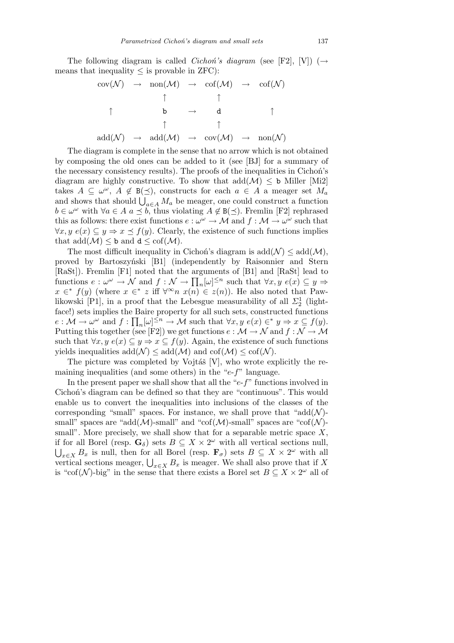The following diagram is called *Cichoń's diagram* (see [F2], [V]) (*→* means that inequality  $\leq$  is provable in ZFC):

cov(*N* ) *→* non(*M*) *→* cof(*M*) *→* cof(*N* ) *↑ ↑ ↑* b *→* d *↑ ↑ ↑* add(*N* ) *→* add(*M*) *→* cov(*M*) *→* non(*N* )

The diagram is complete in the sense that no arrow which is not obtained by composing the old ones can be added to it (see [BJ] for a summary of the necessary consistency results). The proofs of the inequalities in Cichoń's diagram are highly constructive. To show that  $add(\mathcal{M}) \leq b$  Miller [Mi2] takes  $A \subseteq \omega^{\omega}$ ,  $A \notin B(\preceq)$ , constructs for each  $a \in A$  a meager set  $M_a$ takes  $A \subseteq \omega$ ,  $A \notin B(\leq)$ , constructs for each  $a \in A$  a meager set  $M_a$ <br>and shows that should  $\bigcup_{a \in A} M_a$  be meager, one could construct a function *b* ∈  $\omega^{\omega}$  with  $\forall a \in A$  *a*  $\preceq$  *b*, thus violating *A*  $\notin$  B( $\preceq$ ). Fremlin [F2] rephrased this as follows: there exist functions  $e: \omega^{\omega} \to M$  and  $f: M \to \omega^{\omega}$  such that *∀x, y*  $e(x) \subseteq y \Rightarrow x \leq f(y)$ . Clearly, the existence of such functions implies that  $\text{add}(\mathcal{M}) \leq \mathbf{b}$  and  $\mathbf{d} \leq \text{cof}(\mathcal{M})$ .

The most difficult inequality in Cichoń's diagram is  $add(\mathcal{N}) \leq add(\mathcal{M})$ , proved by Bartoszyński [B1] (independently by Raisonnier and Stern [RaSt]). Fremlin [F1] noted that the arguments of [B1] and [RaSt] lead to  $\begin{bmatrix} \text{[Rasy]}. \text{ [Fermin [F1] noted that the arguments of [D1] and [Rasy] lead to functions  $e: \omega^{\omega} \to \mathcal{N}$  and  $f: \mathcal{N} \to \prod_n [\omega]^{\leq n} \text{ such that } \forall x, y \ e(x) \subseteq y \Rightarrow \mathcal{N} \end{bmatrix}$$  $x \in f(y)$  (where  $x \in f$  *z* iff  $\forall^{\infty} n$  *x*(*n*)  $\in z(n)$ ). He also noted that Pawlikowski [P1], in a proof that the Lebesgue measurability of all  $\Sigma_2^1$  (lightface!) sets implies the Baire property for all such sets, constructed functions  $e: \mathcal{M} \to \omega^\omega$  and  $f: \prod_n[\omega]^{\leq n} \to \mathcal{M}$  such that  $\forall x, y \ e(x) \in^* y \Rightarrow x \subseteq f(y)$ . Putting this together (see [F2]) we get functions  $e : \mathcal{M} \to \mathcal{N}$  and  $f : \mathcal{N} \to \mathcal{M}$ such that  $\forall x, y \in \mathbb{R}$   $\subseteq y \Rightarrow x \subseteq f(y)$ . Again, the existence of such functions yields inequalities  $\text{add}(\mathcal{N}) \leq \text{add}(\mathcal{M})$  and  $\text{cof}(\mathcal{M}) \leq \text{cof}(\mathcal{N})$ .

The picture was completed by Vojtáš  $[V]$ , who wrote explicitly the remaining inequalities (and some others) in the "*e*-*f*" language.

In the present paper we shall show that all the "*e*-*f*" functions involved in Cichoń's diagram can be defined so that they are "continuous". This would enable us to convert the inequalities into inclusions of the classes of the corresponding "small" spaces. For instance, we shall prove that " $add(\mathcal{N})$ small" spaces are "add $(M)$ -small" and "cof $(M)$ -small" spaces are "cof $(N)$ small". More precisely, we shall show that for a separable metric space *X*, if for all Borel (resp.  $\mathbf{G}_{\delta}$ ) sets  $B \subseteq X \times 2^{\omega}$  with all vertical sections null,  $x \in X$  *B*<sub>*x*</sub> is null, then for all Borel (resp.  $\mathbf{F}_{\sigma}$ ) sets  $B \subseteq X \times 2^{\omega}$  with all  $\bigcup_{x \in X} D_x$  is nuit, then for all boret (resp.  $\mathbf{r}_{\sigma}$ ) sets  $D \subseteq X \times Z$  with all vertical sections meager,  $\bigcup_{x \in X} B_x$  is meager. We shall also prove that if *X* is "cof( $\mathcal{N}$ )-big" in the sense that there exists a Borel set  $B \subseteq X \times 2^{\omega}$  all of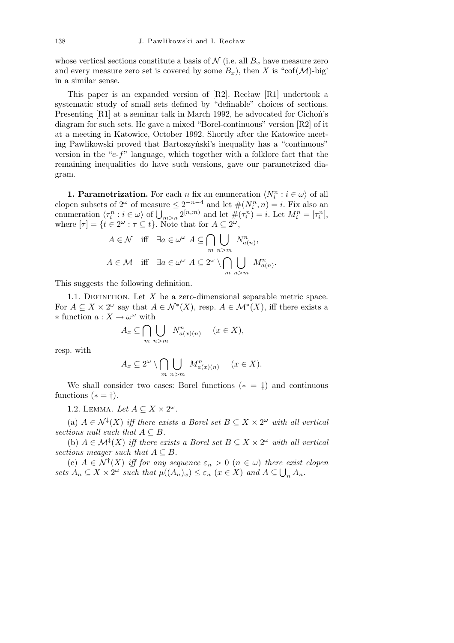whose vertical sections constitute a basis of  $N$  (i.e. all  $B_x$  have measure zero and every measure zero set is covered by some  $B_x$ ), then *X* is "cof(*M*)-big" in a similar sense.

This paper is an expanded version of [R2]. Recław [R1] undertook a systematic study of small sets defined by "definable" choices of sections. Presenting [R1] at a seminar talk in March 1992, he advocated for Cichoń's diagram for such sets. He gave a mixed "Borel-continuous" version [R2] of it at a meeting in Katowice, October 1992. Shortly after the Katowice meeting Pawlikowski proved that Bartoszyński's inequality has a "continuous" version in the "*e*-*f*" language, which together with a folklore fact that the remaining inequalities do have such versions, gave our parametrized diagram.

**1. Parametrization.** For each *n* fix an enumeration  $\langle N_i^n : i \in \omega \rangle$  of all **i** *i i i i i i i i i i i i i i i i i i i i i i i i i i i i i i i i i i i i* cropen subsets of  $2^{\infty}$  of measure  $\leq 2^{\infty}$  and let  $\#(N_i^{\infty}, n) = i$ . Fix also an enumeration  $\langle \tau_i^n : i \in \omega \rangle$  of  $\bigcup_{m>n} 2^{[n,m)}$  and let  $\#(\tau_i^n) = i$ . Let  $M_i^n = [\tau_i^n]$ , where  $[\tau] = \{ t \in 2^{\omega} : \tau \subseteq t \}.$  Note that for  $A \subseteq 2^{\omega}$ ,  $\overline{\phantom{0}}$ 

$$
A \in \mathcal{N} \quad \text{iff} \quad \exists a \in \omega^{\omega} \ A \subseteq \bigcap_{m} \bigcup_{n>m} N_{a(n)}^n,
$$

$$
A \in \mathcal{M} \quad \text{iff} \quad \exists a \in \omega^{\omega} \ A \subseteq 2^{\omega} \setminus \bigcap_{m} \bigcup_{n>m} M_{a(n)}^n.
$$

This suggests the following definition.

1.1. DEFINITION. Let  $X$  be a zero-dimensional separable metric space. For  $A \subseteq X \times 2^{\omega}$  say that  $A \in \mathcal{N}^*(X)$ , resp.  $A \in \mathcal{M}^*(X)$ , iff there exists a *∗* function  $a: X \to \omega^\omega$  with  $\mathbf{r}$ 

$$
A_x \subseteq \bigcap_{m} \bigcup_{n>m} N^n_{a(x)(n)} \quad (x \in X),
$$

resp. with

$$
A_x \subseteq 2^{\omega} \setminus \bigcap_{m} \bigcup_{n>m} M_{a(x)(n)}^n \quad (x \in X).
$$

We shall consider two cases: Borel functions  $(* = \pm)$  and continuous functions  $(* = \dagger).$ 

1.2. LEMMA. Let  $A \subseteq X \times 2^{\omega}$ .

(a)  $A \in \mathcal{N}^{\ddagger}(X)$  *iff there exists a Borel set*  $B \subseteq X \times 2^{\omega}$  *with all vertical sections null such that*  $A \subseteq B$ *.* 

(b)  $A \in \mathcal{M}^{\ddagger}(X)$  *iff there exists a Borel set*  $B \subseteq X \times 2^{\omega}$  *with all vertical sections meager such that*  $A \subseteq B$ *.* 

(c)  $A \in \mathcal{N}^{\dagger}(X)$  *iff for any sequence*  $\varepsilon_n > 0$  ( $n \in \omega$ ) *there exist clopen* sets  $A_n \subseteq X \times 2^{\omega}$  such that  $\mu((A_n)_x) \leq \varepsilon_n$   $(x \in X)$  and  $A \subseteq \bigcup_n A_n$ .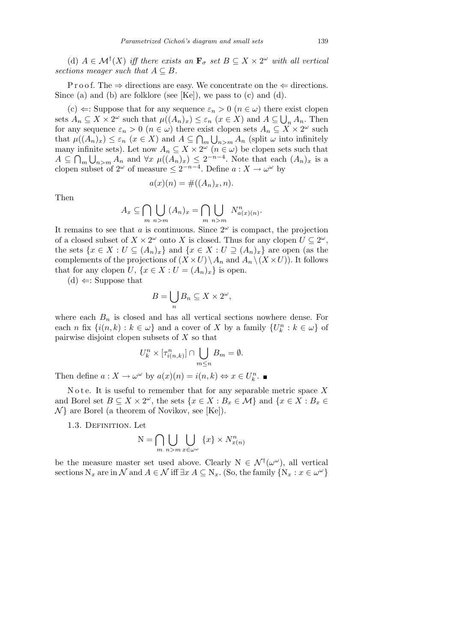(d)  $A \in \mathcal{M}^{\dagger}(X)$  *iff there exists an*  $\mathbf{F}_{\sigma}$  *set*  $B \subseteq X \times 2^{\omega}$  *with all vertical sections meager such that*  $A \subseteq B$ *.* 

P r o o f. The  $\Rightarrow$  directions are easy. We concentrate on the  $\Leftarrow$  directions. Since (a) and (b) are folklore (see [Ke]), we pass to (c) and (d).

(c)  $\Leftarrow$ : Suppose that for any sequence  $\varepsilon_n > 0$  ( $n \in \omega$ ) there exist clopen sets  $A_n \subseteq X \times 2^{\omega}$  such that  $\mu((A_n)_x) \leq \varepsilon_n$  ( $x \in X$ ) and  $A \subseteq \bigcup_n A_n$ . Then for any sequence  $\varepsilon_n > 0$   $(n \in \omega)$  there exist clopen sets  $A_n \subseteq X \times 2^{\omega}$  such that  $\mu((A_n)_x) \leq \varepsilon_n$  ( $x \in X$ ) and  $A \subseteq \bigcap_m \bigcup_{n>m} A_n$  (split  $\omega$  into infinitely many infinite sets). Let now  $A_n \subseteq X \times 2^{\omega}$   $(n \in \omega)$  be clopen sets such that *A ⊆*  $\overline{\phantom{a}}$ *m* nı<br>Ö  $n > m$  *A*<sup>n</sup> and  $\forall x \mu((A_n)_x) \leq 2^{-n-4}$ . Note that each  $(A_n)_x$  is a clopen subset of  $2^{\omega}$  of measure  $\leq 2^{-n-4}$ . Define  $a: X \to \omega^{\omega}$  by

$$
a(x)(n) = \#((A_n)_x, n).
$$

Then

$$
A_x \subseteq \bigcap_{m} \bigcup_{n>m} (A_n)_x = \bigcap_{m} \bigcup_{n>m} N^n_{a(x)(n)}.
$$

It remains to see that *a* is continuous. Since  $2^{\omega}$  is compact, the projection of a closed subset of  $X \times 2^{\omega}$  onto *X* is closed. Thus for any clopen  $U \subseteq 2^{\omega}$ , the sets  $\{x \in X : U \subseteq (A_n)_x\}$  and  $\{x \in X : U \supseteq (A_n)_x\}$  are open (as the complements of the projections of  $(X \times U) \setminus A_n$  and  $A_n \setminus (X \times U)$ . It follows that for any clopen *U*,  $\{x \in X : U = (A_n)_x\}$  is open.

(d) *⇐*: Suppose that

$$
B=\bigcup_n B_n\subseteq X\times 2^\omega,
$$

where each  $B_n$  is closed and has all vertical sections nowhere dense. For each *n* fix  $\{i(n,k): k \in \omega\}$  and a cover of *X* by a family  $\{U_k^n : k \in \omega\}$  of pairwise disjoint clopen subsets of *X* so that

$$
U_k^n \times [\tau_{i(n,k)}^n] \cap \bigcup_{m \le n} B_m = \emptyset.
$$

Then define  $a: X \to \omega^\omega$  by  $a(x)(n) = i(n, k) \Leftrightarrow x \in U_k^n$ .

Note. It is useful to remember that for any separable metric space  $X$ and Borel set  $B \subseteq X \times 2^{\omega}$ , the sets  $\{x \in X : B_x \in \mathcal{M}\}\$ and  $\{x \in X : B_x \in$ *N }* are Borel (a theorem of Novikov, see [Ke]).

1.3. Definition. Let

$$
N = \bigcap_{m} \bigcup_{n>m} \bigcup_{x \in \omega^{\omega}} \{x\} \times N_{x(n)}^{n}
$$

be the measure master set used above. Clearly  $N \in \mathcal{N}^{\dagger}(\omega^{\omega})$ , all vertical sections  $N_x$  are in  $\mathcal N$  and  $A \in \mathcal N$  iff  $\exists x \ A \subseteq N_x$ . (So, the family  $\{N_x : x \in \omega^\omega\}$ )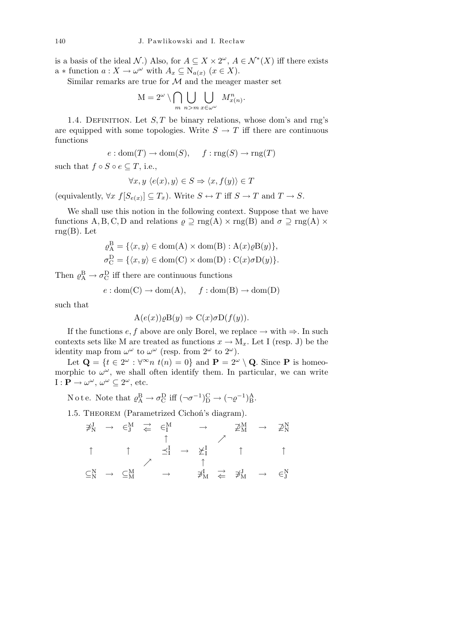is a basis of the ideal *N*.) Also, for  $A \subseteq X \times 2^{\omega}$ ,  $A \in \mathcal{N}^*(X)$  iff there exists  $a *$  function  $a : X \to \omega^\omega$  with  $A_x \subseteq N_{a(x)} \ (x \in X)$ .

Similar remarks are true for *M* and the meager master set

$$
M = 2^{\omega} \setminus \bigcap_{m} \bigcup_{n > m} \bigcup_{x \in \omega^{\omega}} M_{x(n)}^{n}.
$$

1.4. DEFINITION. Let  $S, T$  be binary relations, whose dom's and rng's are equipped with some topologies. Write  $S \to T$  iff there are continuous functions

$$
e: dom(T) \to dom(S),
$$
  $f: rng(S) \to rng(T)$ 

such that  $f \circ S \circ e \subseteq T$ , i.e.,

$$
\forall x, y \ \langle e(x), y \rangle \in S \Rightarrow \langle x, f(y) \rangle \in T
$$

(equivalently,  $\forall x \ f[S_{e(x)}] \subseteq T_x$ ). Write  $S \leftrightarrow T$  iff  $S \to T$  and  $T \to S$ .

We shall use this notion in the following context. Suppose that we have functions A, B, C, D and relations  $\rho \supseteq \text{rng}(A) \times \text{rng}(B)$  and  $\sigma \supseteq \text{rng}(A) \times$  $rng(B).$  Let

$$
\varrho_{A}^{B} = \{ \langle x, y \rangle \in \text{dom}(A) \times \text{dom}(B) : A(x)\varrho B(y) \},
$$
  

$$
\sigma_{C}^{D} = \{ \langle x, y \rangle \in \text{dom}(C) \times \text{dom}(D) : C(x)\sigma D(y) \}.
$$

Then  $\varrho_{\rm A}^{\rm B} \to \sigma_{\rm C}^{\rm D}$  iff there are continuous functions

$$
e: dom(C) \to dom(A), \quad f: dom(B) \to dom(D)
$$

such that

$$
A(e(x))\rho B(y) \Rightarrow C(x)\sigma D(f(y)).
$$

If the functions  $e, f$  above are only Borel, we replace  $\rightarrow$  with  $\Rightarrow$ . In such contexts sets like M are treated as functions  $x \to M_x$ . Let I (resp. J) be the identity map from  $\omega^{\omega}$  to  $\omega^{\omega}$  (resp. from  $2^{\omega}$  to  $2^{\omega}$ ).

Let  $\mathbf{Q} = \{t \in 2^{\omega} : \forall^{\infty} n \ t(n) = 0\}$  and  $\mathbf{P} = 2^{\omega} \setminus \mathbf{Q}$ . Since **P** is homeomorphic to  $\omega^{\omega}$ , we shall often identify them. In particular, we can write  $I: \mathbf{P} \to \omega^{\omega}, \, \omega^{\omega} \subseteq 2^{\omega}, \text{ etc.}$ 

Note. Note that  $\varrho_{\rm A}^{\rm B} \to \sigma_{\rm C}^{\rm D}$  iff  $(\neg \sigma^{-1})_{\rm D}^{\rm C} \to (\neg \varrho^{-1})_{\rm B}^{\rm A}$ .

1.5. Theorem (Parametrized Cichoń's diagram).

$$
\begin{array}{ccccccccc}\n\exists_{N}^{J} & \rightarrow & \in_{J}^{M} & \rightleftarrows & \in_{I}^{M} & \rightarrow & \not\supseteq_{N}^{M} & \rightarrow & \not\supseteq_{N}^{N} \\
\uparrow & & \uparrow & & \uparrow & & \nearrow & & \uparrow & & \uparrow & & \uparrow \\
\Box_{N}^{N} & \rightarrow & \subseteq_{M}^{M} & & \rightarrow & & \not\supseteq_{M}^{I} & \rightleftarrows & \not\supseteq_{M}^{J} & \rightarrow & \in_{J}^{N} & & \uparrow\n\end{array}
$$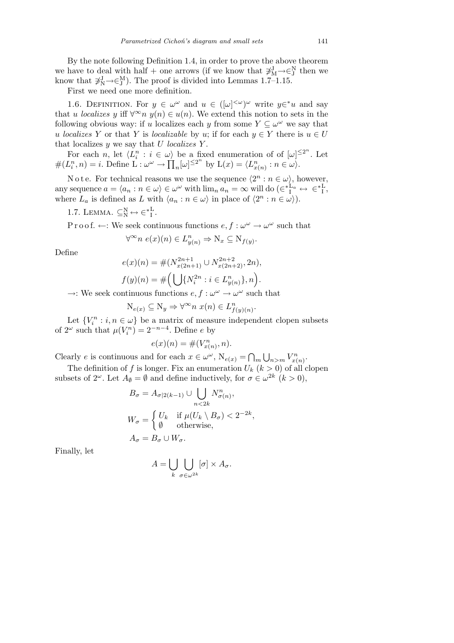By the note following Definition 1.4, in order to prove the above theorem we have to deal with half + one arrows (if we know that  $\mathcal{F}_{M}^{J} \rightarrow \in \mathcal{F}_{J}^{N}$  then we know that  $\sharp_N^J \to \in_N^M$ ). The proof is divided into Lemmas 1.7–1.15.

First we need one more definition.

1.6. DEFINITION. For  $y \in \omega^\omega$  and  $u \in ([\omega]^{<\omega})^\omega$  write  $y \in {\mathscr{U}} u$  and say that *u localizes y* iff  $\forall^{\infty} n$  *y*(*n*)  $\in$  *u*(*n*). We extend this notion to sets in the following obvious way: if *u* localizes each *y* from some  $Y \subseteq \omega^{\omega}$  we say that *u localizes Y* or that *Y* is *localizable* by *u*; if for each  $y \in Y$  there is  $u \in U$ that localizes *y* we say that *U localizes Y* .

For each *n*, let  $\langle L_i^n : i \in \omega \rangle$  be a fixed enumeration of of  $[\omega]^{\leq 2^n}$ . Let For each *n*, let  $\langle L_i : i \in \omega \rangle$ <br>  $\#(L_i^n, n) = i$ . Define  $\mathcal{L} : \omega^{\omega} \to \prod$  $n[\omega]^{\leq 2^n}$  by  $L(x) = \langle L^n_{x(n)} : n \in \omega \rangle$ .

N o t e. For technical reasons we use the sequence  $\langle 2^n : n \in \omega \rangle$ , however, any sequence  $a = \langle a_n : n \in \omega \rangle \in \omega^\omega$  with  $\lim_n a_n = \infty$  will do  $(\in_{I}^{\sharp}L_a \leftrightarrow \in_{I}^{\sharp}L$ , where  $L_a$  is defined as  $L$  with  $\langle a_n : n \in \omega \rangle$  in place of  $\langle 2^n : n \in \omega \rangle$ .

1.7. LEMMA.  $\subseteq_N^N \leftrightarrow \in_{I}^*$ .

P r o o f.  $\leftarrow$ : We seek continuous functions  $e, f : \omega^{\omega} \to \omega^{\omega}$  such that

$$
\forall^{\infty} n \ e(x)(n) \in L_{y(n)}^n \Rightarrow N_x \subseteq N_{f(y)}.
$$

Define

$$
e(x)(n) = \#(N_{x(2n+1)}^{2n+1} \cup N_{x(2n+2)}^{2n+2}, 2n),
$$
  

$$
f(y)(n) = \#(\bigcup \{N_i^{2n} : i \in L_{y(n)}^n\}, n).
$$

 $\rightarrow$ : We seek continuous functions  $e, f : \omega^{\omega} \rightarrow \omega^{\omega}$  such that

$$
N_{e(x)} \subseteq N_y \Rightarrow \forall^{\infty} n \; x(n) \in L_{f(y)(n)}^n.
$$

Let  $\{V_i^n : i, n \in \omega\}$  be a matrix of measure independent clopen subsets of  $2^{\omega}$  such that  $\mu(V_i^n) = 2^{-n-4}$ . Define *e* by

$$
e(x)(n) = \#(V^n_{x(n)}, n).
$$

Clearly *e* is continuous and for each  $x \in \omega^{\omega}$ ,  $N_{e(x)} = \bigcap$ *m* S  $\sum_{n>m} V_{x(n)}^n$ .

The definition of *f* is longer. Fix an enumeration  $U_k$  ( $k > 0$ ) of all clopen subsets of  $2^{\omega}$ . Let  $A_{\emptyset} = \emptyset$  and define inductively, for  $\sigma \in \omega^{2k}$   $(k > 0)$ ,

$$
B_{\sigma} = A_{\sigma|2(k-1)} \cup \bigcup_{n < 2k} N_{\sigma(n)}^n,
$$
\n
$$
W_{\sigma} = \begin{cases} U_k & \text{if } \mu(U_k \setminus B_{\sigma}) < 2^{-2k}, \\ \emptyset & \text{otherwise}, \end{cases}
$$
\n
$$
A_{\sigma} = B_{\sigma} \cup W_{\sigma}.
$$

Finally, let

$$
A = \bigcup_{k} \bigcup_{\sigma \in \omega^{2k}} [\sigma] \times A_{\sigma}.
$$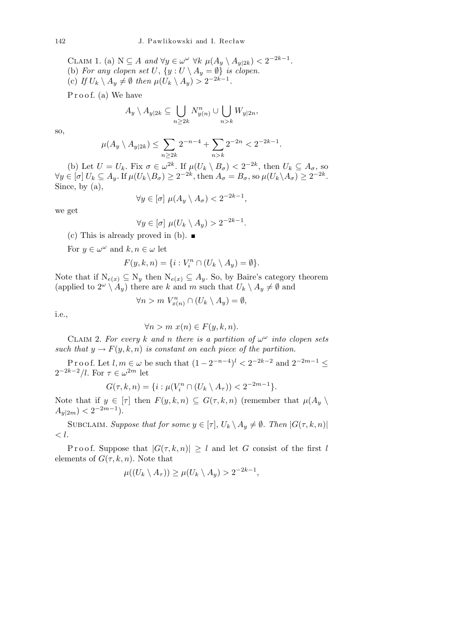CLAIM 1. (a)  $N \subseteq A$  and  $\forall y \in \omega^{\omega} \ \forall k \ \mu(A_y \setminus A_{y|2k}) < 2^{-2k-1}$ . (b) *For any clopen set*  $U$ ,  $\{y : U \setminus A_y = \emptyset\}$  *is clopen.* (c) *If*  $U_k \setminus A_y \neq \emptyset$  then  $\mu(U_k \setminus A_y) > 2^{-2k-1}$ .

Proof. (a) We have

$$
A_y \setminus A_{y|2k} \subseteq \bigcup_{n \ge 2k} N_{y(n)}^n \cup \bigcup_{n > k} W_{y|2n},
$$

so,

$$
\mu(A_y \setminus A_{y|2k}) \le \sum_{n \ge 2k} 2^{-n-4} + \sum_{n > k} 2^{-2n} < 2^{-2k-1}.
$$

(b) Let  $U = U_k$ . Fix  $\sigma \in \omega^{2k}$ . If  $\mu(U_k \setminus B_{\sigma}) < 2^{-2k}$ , then  $U_k \subseteq A_{\sigma}$ , so  $\forall y \in [\sigma] U_k \subseteq A_y$ . If  $\mu(U_k \backslash B_\sigma) \geq 2^{-2k}$ , then  $A_\sigma = B_\sigma$ , so  $\mu(U_k \backslash A_\sigma) \geq 2^{-2k}$ . Since, by (a),

$$
\forall y \in [\sigma] \ \mu(A_y \setminus A_\sigma) < 2^{-2k-1},
$$

we get

$$
\forall y \in [\sigma] \mu(U_k \setminus A_y) > 2^{-2k-1}.
$$

(c) This is already proved in (b).  $\blacksquare$ 

For  $y \in \omega^{\omega}$  and  $k, n \in \omega$  let

$$
F(y,k,n) = \{i : V_i^n \cap (U_k \setminus A_y) = \emptyset\}.
$$

Note that if  $N_{e(x)} \subseteq N_y$  then  $N_{e(x)} \subseteq A_y$ . So, by Baire's category theorem (applied to  $2^{\omega} \setminus A_y$ ) there are *k* and *m* such that  $U_k \setminus A_y \neq \emptyset$  and

$$
\forall n > m \ V_{x(n)}^n \cap (U_k \setminus A_y) = \emptyset,
$$

i.e.,

$$
\forall n > m \ x(n) \in F(y,k,n).
$$

CLAIM 2. For every *k* and *n* there is a partition of  $\omega^{\omega}$  into clopen sets *such that*  $y \rightarrow F(y, k, n)$  *is constant on each piece of the partition.* 

P r o o f. Let  $l, m \in \omega$  be such that  $(1 - 2^{-n-4})^l < 2^{-2k-2}$  and  $2^{-2m-1} \le$  $2^{-2k-2}/l$ . For  $\tau \in \omega^{2m}$  let

$$
G(\tau, k, n) = \{i : \mu(V_i^n \cap (U_k \setminus A_{\tau})) < 2^{-2m-1}\}.
$$

Note that if  $y \in [\tau]$  then  $F(y, k, n) \subseteq G(\tau, k, n)$  (remember that  $\mu(A_y \setminus \tau)$  $A_{y|2m}$   $<$  2<sup>-2*m*-1</sup></sub>.

SUBCLAIM. *Suppose that for some*  $y \in [\tau]$ ,  $U_k \setminus A_y \neq \emptyset$ . *Then*  $|G(\tau, k, n)|$ *< l.*

Proof. Suppose that  $|G(\tau, k, n)| \geq l$  and let *G* consist of the first *l* elements of  $G(\tau, k, n)$ . Note that

$$
\mu((U_k \setminus A_{\tau})) \ge \mu(U_k \setminus A_y) > 2^{-2k-1},
$$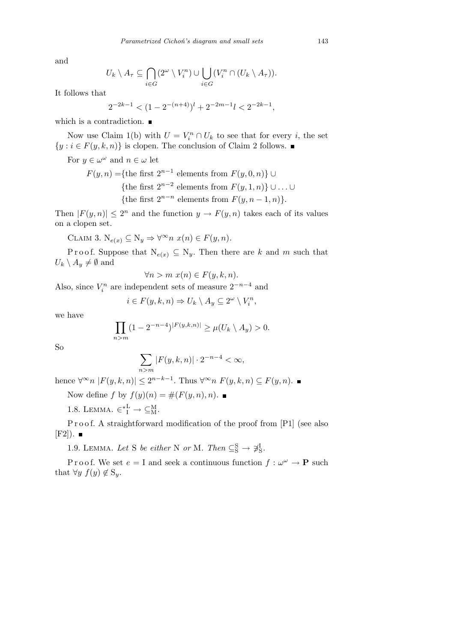and

$$
U_k \setminus A_{\tau} \subseteq \bigcap_{i \in G} (2^{\omega} \setminus V_i^n) \cup \bigcup_{i \in G} (V_i^n \cap (U_k \setminus A_{\tau})).
$$

It follows that

$$
2^{-2k-1} < (1 - 2^{-(n+4)})^l + 2^{-2m-1}l < 2^{-2k-1},
$$

which is a contradiction.  $\blacksquare$ 

Now use Claim 1(b) with  $U = V_i^n \cap U_k$  to see that for every *i*, the set  ${y : i \in F(y, k, n)}$  is clopen. The conclusion of Claim 2 follows. ■

For  $y \in \omega^{\omega}$  and  $n \in \omega$  let

$$
F(y, n) = \{\text{the first } 2^{n-1} \text{ elements from } F(y, 0, n)\} \cup
$$
  
\n{the first  $2^{n-2}$  elements from  $F(y, 1, n)\} \cup ... \cup$   
\n{the first  $2^{n-n}$  elements from  $F(y, n-1, n)$ }

Then  $|F(y, n)| \leq 2^n$  and the function  $y \to F(y, n)$  takes each of its values on a clopen set.

CLAIM 3.  $N_{e(x)} \subseteq N_y \Rightarrow \forall^{\infty} n \ x(n) \in F(y, n)$ .

Proof. Suppose that  $N_{e(x)} \subseteq N_y$ . Then there are *k* and *m* such that  $U_k \setminus A_y \neq \emptyset$  and

$$
\forall n > m \ x(n) \in F(y,k,n).
$$

Also, since  $V_i^n$  are independent sets of measure  $2^{-n-4}$  and

$$
i \in F(y,k,n) \Rightarrow U_k \setminus A_y \subseteq 2^{\omega} \setminus V_i^n,
$$

we have

$$
\prod_{n>m} (1 - 2^{-n-4})^{|F(y,k,n)|} \ge \mu(U_k \setminus A_y) > 0.
$$

So

$$
\sum_{n>m} |F(y,k,n)| \cdot 2^{-n-4} < \infty,
$$

hence  $\forall^{\infty} n$  | $F(y, k, n)$ | ≤ 2<sup>*n−k*−1</sup>*.* Thus  $\forall^{\infty} n$   $F(y, k, n)$  ⊆  $F(y, n)$ .

Now define  $f$  by  $f(y)(n) = \#(F(y, n), n)$ .

1.8. LEMMA.  $\in^*_{I}^{\mathcal{L}} \to \subseteq^{\mathcal{M}}_{\mathcal{M}}$ .

P r o o f. A straightforward modification of the proof from [P1] (see also  $[F2]$ .

1.9. LEMMA. Let S be either N or M. Then  $\subseteq_{\mathcal{S}}^{\mathcal{S}} \to \mathcal{F}_{\mathcal{S}}^{\mathcal{I}}$ .

P r o o f. We set  $e = I$  and seek a continuous function  $f : \omega^{\omega} \to \mathbf{P}$  such that  $\forall y \ f(y) \notin S_y$ .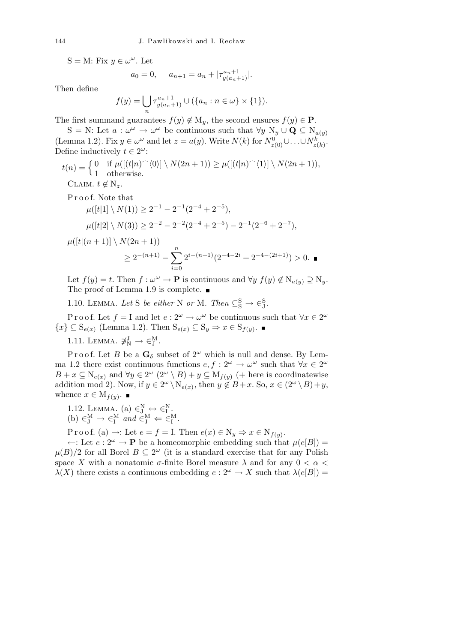$S = M: Fix y \in \omega^{\omega}$ . Let

$$
a_0 = 0
$$
,  $a_{n+1} = a_n + |\tau_{y(a_n+1)}^{a_n+1}|$ .

Then define

$$
f(y) = \bigcup_{n} \tau_{y(a_n+1)}^{a_n+1} \cup (\{a_n : n \in \omega\} \times \{1\}).
$$

The first summand guarantees  $f(y) \notin M_y$ , the second ensures  $f(y) \in \mathbf{P}$ .

 $S = N$ : Let  $a: \omega^{\omega} \to \omega^{\omega}$  be continuous such that  $\forall y \ N_y \cup \mathbf{Q} \subseteq N_{a(y)}$ (Lemma 1.2). Fix  $y \in \omega^\omega$  and let  $z = a(y)$ . Write  $N(k)$  for  $N_{z(0)}^0 \cup \ldots \cup N_{z(k)}^k$ . Define inductively  $t \in 2^{\omega}$ :

$$
t(n) = \begin{cases} 0 & \text{if } \mu([t|n)^\frown \langle 0 \rangle] \setminus N(2n+1)) \ge \mu([t|n)^\frown \langle 1 \rangle] \setminus N(2n+1)), \\ 0 & \text{otherwise.} \end{cases}
$$
  
CLAIM.  $t \notin N_z$ .

P r o o f. Note that

$$
\mu([t|1] \setminus N(1)) \ge 2^{-1} - 2^{-1}(2^{-4} + 2^{-5}),
$$
  

$$
\mu([t|2] \setminus N(3)) \ge 2^{-2} - 2^{-2}(2^{-4} + 2^{-5}) - 2^{-1}(2^{-6} + 2^{-7}),
$$

$$
\mu([t|(n+1)] \setminus N(2n+1))
$$
  
\n
$$
\geq 2^{-(n+1)} - \sum_{i=0}^{n} 2^{i-(n+1)} (2^{-4-2i} + 2^{-4-(2i+1)}) > 0.
$$

Let  $f(y) = t$ . Then  $f: \omega^{\omega} \to \mathbf{P}$  is continuous and  $\forall y \ f(y) \notin N_{a(y)} \supseteq N_y$ . The proof of Lemma 1.9 is complete.

1.10. LEMMA. Let S be either N or M. Then  $\subseteq_{\mathcal{S}}^{\mathcal{S}} \to \in_{\mathcal{J}}^{\mathcal{S}}$ .

Proof. Let  $f = I$  and let  $e : 2^{\omega} \to \omega^{\omega}$  be continuous such that  $\forall x \in 2^{\omega}$  ${x} \subseteq S_{e(x)}$  (Lemma 1.2). Then  $S_{e(x)} \subseteq S_y \Rightarrow x \in S_{f(y)}$ .

1.11. LEMMA.  $\sharp_N^J \to \in_N^M$ .

P r o o f. Let *B* be a  $\mathbf{G}_{\delta}$  subset of  $2^{\omega}$  which is null and dense. By Lemma 1.2 there exist continuous functions  $e, f : 2^{\omega} \to \omega^{\omega}$  such that  $\forall x \in 2^{\omega}$  $B + x \subseteq \mathbb{N}_{e(x)}$  and  $\forall y \in 2^{\omega}$   $(2^{\omega} \setminus B) + y \subseteq \mathbb{M}_{f(y)}$  (+ here is coordinatewise addition mod 2). Now, if  $y \in 2^{\omega} \setminus \mathrm{N}_{e(x)}$ , then  $y \notin B+x$ . So,  $x \in (2^{\omega} \setminus B)+y$ , whence  $x \in M_{f(y)}$ .

1.12. LEMMA. (a)  $\in_{J}^{N} \leftrightarrow \in_{I}^{N}$ .  $(b) \in _J^M \to \in _I^M$  *and*  $\in _J^M \Leftarrow \in _I^M$ .

Proof. (a)  $\rightarrow$ : Let  $e = f = I$ . Then  $e(x) \in N_y \Rightarrow x \in N_{f(y)}$ .

 $\leftarrow$ : Let *e* : 2<sup>ω</sup> → **P** be a homeomorphic embedding such that  $\mu(e[B])$  =  $\mu(B)/2$  for all Borel  $B \subseteq 2^{\omega}$  (it is a standard exercise that for any Polish space *X* with a nonatomic  $\sigma$ -finite Borel measure  $\lambda$  and for any  $0 < \alpha <$ *λ*(*X*) there exists a continuous embedding  $e: 2^ω \rightarrow X$  such that  $λ(e|B|)$  =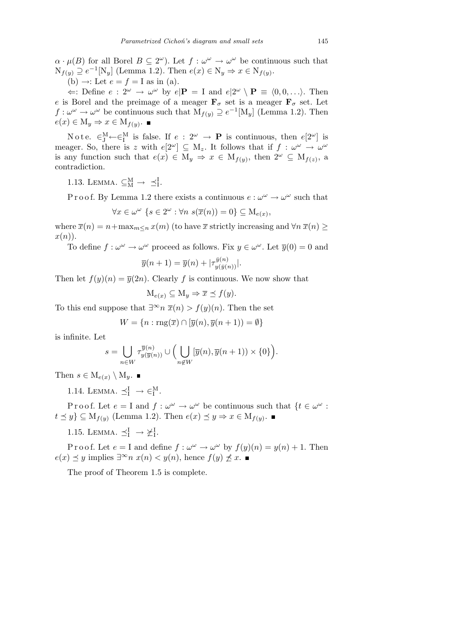$\alpha \cdot \mu(B)$  for all Borel  $B \subseteq 2^{\omega}$ ). Let  $f : \omega^{\omega} \to \omega^{\omega}$  be continuous such that  $N_{f(y)}$  ⊇  $e^{-1}[N_y]$  (Lemma 1.2). Then  $e(x) \in N_y \Rightarrow x \in N_{f(y)}$ .

(b)  $\rightarrow$ : Let  $e = f = I$  as in (a).

 $\Leftarrow$ : Define  $e : 2^{\omega} \rightarrow \omega^{\omega}$  by  $e | \mathbf{P} = I$  and  $e | 2^{\omega} \setminus \mathbf{P} \equiv \langle 0, 0, \ldots \rangle$ . Then *e* is Borel and the preimage of a meager  $\mathbf{F}_{\sigma}$  set is a meager  $\mathbf{F}_{\sigma}$  set. Let  $f: \omega^{\omega} \to \omega^{\omega}$  be continuous such that  $M_{f(y)} \supseteq e^{-1}[M_y]$  (Lemma 1.2). Then  $e(x) \in M_y \Rightarrow x \in M_{f(y)}$ .

N o t e.  $\in_{\mathrm{J}}^{\mathrm{M}} \leftarrow \in_{\mathrm{I}}^{\mathrm{M}}$  is false. If  $e: 2^{\omega} \rightarrow \mathbf{P}$  is continuous, then  $e[2^{\omega}]$  is meager. So, there is *z* with  $e[2^{\omega}] \subseteq M_z$ . It follows that if  $f : \omega^{\omega} \to \omega^{\omega}$ is any function such that  $e(x) \in M_y \Rightarrow x \in M_{f(y)}$ , then  $2^{\omega} \subseteq M_{f(z)}$ , a contradiction.

1.13. LEMMA.  $\subseteq_M^M \to \preceq_I^I$ .

P r o o f. By Lemma 1.2 there exists a continuous  $e: \omega^{\omega} \to \omega^{\omega}$  such that

 $\forall x \in \omega^{\omega} \{s \in 2^{\omega} : \forall n \ s(\overline{x}(n)) = 0\} \subseteq M_{e(x)},$ 

where  $\overline{x}(n) = n + \max_{m \leq n} x(m)$  (to have  $\overline{x}$  strictly increasing and  $\forall n \overline{x}(n) \geq$ *x*(*n*)).

To define  $f: \omega^{\omega} \to \omega^{\omega}$  proceed as follows. Fix  $y \in \omega^{\omega}$ . Let  $\overline{y}(0) = 0$  and

$$
\overline{y}(n+1) = \overline{y}(n) + |\tau_{y(\overline{y}(n))}^{\overline{y}(n)}|.
$$

Then let  $f(y)(n) = \overline{y}(2n)$ . Clearly *f* is continuous. We now show that

 $M_{e(x)} \subseteq M_y \Rightarrow \overline{x} \preceq f(y)$ .

To this end suppose that  $\exists^{\infty} n \ \overline{x}(n) > f(y)(n)$ . Then the set

$$
W = \{n : \text{rng}(\overline{x}) \cap [\overline{y}(n), \overline{y}(n+1)) = \emptyset\}
$$

is infinite. Let

$$
s = \bigcup_{n \in W} \tau_{y(\overline{y}(n))}^{\overline{y}(n)} \cup \Big(\bigcup_{n \notin W} [\overline{y}(n), \overline{y}(n+1)) \times \{0\} \Big).
$$

Then  $s \in M_{e(x)} \setminus M_y$ .

1.14. LEMMA.  $\preceq^{\mathrm{I}}_{\mathrm{I}} \to \in^{\mathrm{M}}_{\mathrm{I}}$ .

Proof. Let  $e = I$  and  $f : \omega^{\omega} \to \omega^{\omega}$  be continuous such that  $\{t \in \omega^{\omega} :$  $t \leq y$   $\subseteq$  M<sub>*f*(*y*)</sub> (Lemma 1.2). Then  $e(x) \leq y \Rightarrow x \in M_{f(y)}$ .

1.15. LEMMA.  $\preceq^{\mathrm{I}}_{\mathrm{I}} \rightarrow \succeq^{\mathrm{I}}_{\mathrm{I}}$ .

Proof. Let  $e = I$  and define  $f : \omega^{\omega} \to \omega^{\omega}$  by  $f(y)(n) = y(n) + 1$ . Then *e*(*x*)  $\leq$  *y* implies  $\exists^{\infty} n$  *x*(*n*)  $\lt$  *y*(*n*), hence *f*(*y*)  $\nleq$  *x*. ■

The proof of Theorem 1.5 is complete.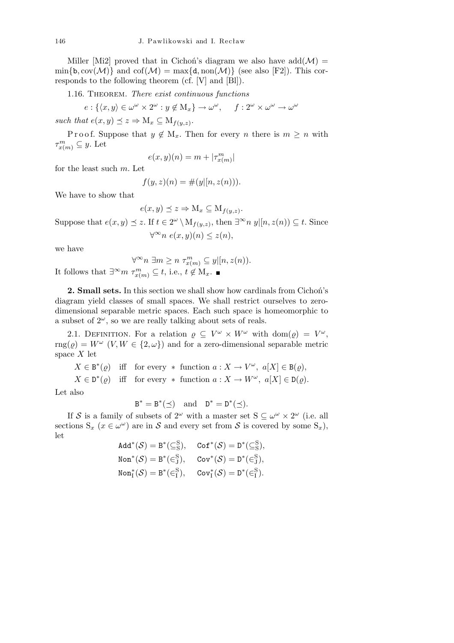Miller [Mi2] proved that in Cichoń's diagram we also have  $add(\mathcal{M}) =$  $\min\{\mathbf{b}, \text{cov}(\mathcal{M})\}\$ and  $\text{cof}(\mathcal{M}) = \max\{\mathbf{d}, \text{non}(\mathcal{M})\}\$  (see also [F2]). This corresponds to the following theorem (cf. [V] and [Bl]).

1.16. Theorem. *There exist continuous functions*

$$
e: \{ \langle x, y \rangle \in \omega^{\omega} \times 2^{\omega} : y \notin M_x \} \to \omega^{\omega}, \quad f: 2^{\omega} \times \omega^{\omega} \to \omega^{\omega}
$$

 $such that e(x, y) \leq z \Rightarrow M_x \subseteq M_{f(y,z)}$ .

Proof. Suppose that  $y \notin M_x$ . Then for every *n* there is  $m \geq n$  with  $\tau_{x(m)}^m \subseteq y$ . Let

$$
e(x, y)(n) = m + |\tau^m_{x(m)}|
$$

for the least such *m*. Let

$$
f(y, z)(n) = \#(y|[n, z(n))).
$$

We have to show that

$$
e(x, y) \preceq z \Rightarrow M_x \subseteq M_{f(y, z)}.
$$

Suppose that  $e(x, y) \leq z$ . If  $t \in 2^{\omega} \setminus M_{f(y,z)}$ , then  $\exists^{\infty} n \ y | [n, z(n)) \subseteq t$ . Since *∀ <sup>∞</sup>n e*(*x, y*)(*n*) *≤ z*(*n*)*,*

we have

$$
\forall^{\infty} n \exists m \ge n \ \tau_{x(m)}^m \subseteq y | [n, z(n)).
$$
  
It follows that  $\exists^{\infty} m \ \tau_{x(m)}^m \subseteq t$ , i.e.,  $t \notin M_x$ .

**2. Small sets.** In this section we shall show how cardinals from Cichoń's diagram yield classes of small spaces. We shall restrict ourselves to zerodimensional separable metric spaces. Each such space is homeomorphic to a subset of  $2^{\omega}$ , so we are really talking about sets of reals.

2.1. DEFINITION. For a relation  $\rho \subseteq V^{\omega} \times W^{\omega}$  with dom( $\rho$ ) =  $V^{\omega}$ , rng( $\varrho$ ) =  $W^{\omega}$  (*V, W*  $\in$  {2,  $\omega$ }) and for a zero-dimensional separable metric space *X* let

 $X \in B^*(\varrho)$  iff for every  $*$  function  $a: X \to V^\omega$ ,  $a[X] \in B(\varrho)$ ,  $X \in D^*(\varrho)$  iff for every  $*$  function  $a: X \to W^\omega$ ,  $a[X] \in D(\varrho)$ .

Let also

$$
B^* = B^*(\preceq) \quad \text{and} \quad D^* = D^*(\preceq).
$$

If *S* is a family of subsets of  $2^{\omega}$  with a master set  $S \subseteq \omega^{\omega} \times 2^{\omega}$  (i.e. all sections  $S_x$   $(x \in \omega^\omega)$  are in *S* and every set from *S* is covered by some  $S_x$ ), let

$$
\begin{aligned} \mathtt{Add}^*(\mathcal{S}) = \mathtt{B}^*(\subseteq^S_S), \quad \mathtt{Cof}^*(\mathcal{S}) = \mathtt{D}^*(\subseteq^S_S),\\ \mathtt{Non}^*(\mathcal{S}) = \mathtt{B}^*(\in^S_J), \quad \mathtt{Cov}^*(\mathcal{S}) = \mathtt{D}^*(\in^S_J),\\ \mathtt{Non}^*_I(\mathcal{S}) = \mathtt{B}^*(\in^S_I), \quad \mathtt{Cov}^*_I(\mathcal{S}) = \mathtt{D}^*(\in^S_I). \end{aligned}
$$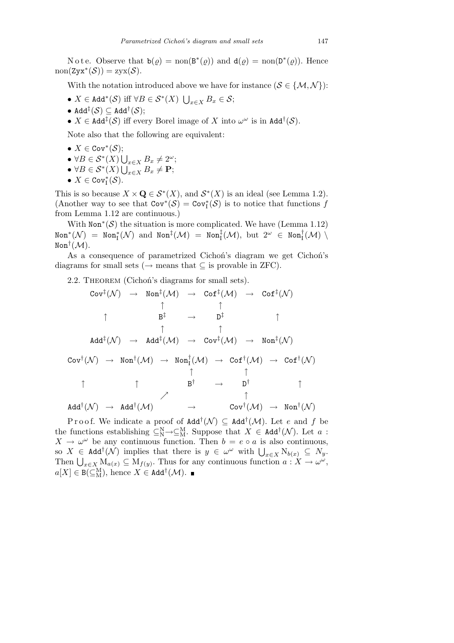Note. Observe that  $\mathbf{b}(\varrho) = \text{non}(\mathbf{B}^*(\varrho))$  and  $\mathbf{d}(\varrho) = \text{non}(\mathbf{D}^*(\varrho))$ . Hence  $\text{non}(\text{Z}y\text{x}^*(\mathcal{S})) = \text{Z}y\text{x}(\mathcal{S}).$ 

With the notation introduced above we have for instance ( $S \in \{M, \mathcal{N}\}\$ ):

- *• X ∈* Add*<sup>∗</sup>* (*S*) iff *∀B ∈ S<sup>∗</sup>* (*X*) S *<sup>x</sup>∈<sup>X</sup> B<sup>x</sup> ∈ S*;
- *•* Add*‡* (*S*) *⊆* Add*†* (*S*);
- $\bullet$  *X* ∈ Add<sup>‡</sup>(*S*) iff every Borel image of *X* into  $\omega^{\omega}$  is in Add<sup>†</sup>(*S*).

Note also that the following are equivalent:

- *• X ∈* Cov*<sup>∗</sup>* (*S*);
- *∀B ∈ S<sup>∗</sup>* (*X*) ,<br>
U<sub>*x*∈*X*</sub> *B*<sub>*x*</sub> ≠ 2<sup>ω</sup>;
- $\bullet \ \forall B \in \mathcal{S}^*(X) \bigcup_{x \in X} E_x \neq \mathbf{P};$
- $\bullet$  *X* ∈ Cov<sup>\*</sup><sub>I</sub></sub>(*S*).

This is so because  $X \times \mathbf{Q} \in \mathcal{S}^*(X)$ , and  $\mathcal{S}^*(X)$  is an ideal (see Lemma 1.2). (Another way to see that  $Cov^*(\mathcal{S}) = Cov^*_{\mathcal{I}}(\mathcal{S})$  is to notice that functions *f* from Lemma 1.12 are continuous.)

With  $\text{Non}^*(\mathcal{S})$  the situation is more complicated. We have (Lemma 1.12)  $\text{Non}^*(\mathcal{N})$  =  $\text{Non}^*_\mathrm{I}(\mathcal{N})$  and  $\text{Non}^{\ddagger}_\mathrm{I}(\mathcal{M})$  =  $\text{Non}^{\ddagger}_\mathrm{I}(\mathcal{M}),$  but  $2^\omega$   $\in$   $\text{Non}^{\dagger}_\mathrm{I}(\mathcal{M})$   $\setminus$  $\text{\tt Non}^\dagger(\overline{\mathcal M}).$ 

As a consequence of parametrized Cichoń's diagram we get Cichoń's diagrams for small sets (*→* means that *⊆* is provable in ZFC).

2.2. THEOREM (Cichoń's diagrams for small sets).

Cov*‡* (*N* ) *→* Non*‡* (*M*) *→* Cof*‡* (*M*) *→* Cof*‡* (*N* ) *↑ ↑ ↑* B *‡ →* D *‡ ↑ ↑ ↑* Add*‡* (*N* ) *→* Add*‡* (*M*) *→* Cov*‡* (*M*) *→* Non*‡* (*N* ) Cov*†* (*N* ) *→* Non*†* (*M*) *→* Non*†* I (*M*) *→* Cof*†* (*M*) *→* Cof*†* (*N* ) *↑ ↑ ↑ ↑* B *† →* D *† ↑ % ↑* Add*†* (*N* ) *→* Add*†* (*M*) *→* Cov*†* (*M*) *→* Non*†* (*N* )

Proof. We indicate a proof of  $\text{Add}^\dagger(\mathcal{N}) \subseteq \text{Add}^\dagger(\mathcal{M})$ . Let *e* and *f* be the functions establishing  $\subseteq_N^N \to \subseteq_M^M$ . Suppose that  $X \in \text{Add}^{\dagger}(\mathcal{N})$ . Let  $a$ :  $X \to \omega^\omega$  be any continuous function. Then  $b = e \circ a$  is also continuous,  $X \to \omega^+$  be any continuous function. Then  $\theta = e^{\omega} a$  is also continuous,<br>so  $X \in \text{Add}^{\dagger}(\mathcal{N})$  implies that there is  $y \in \omega^{\omega}$  with  $\bigcup_{x \in X} N_{b(x)} \subseteq N_y$ . So  $\Lambda$  ∈ **Add**'(*N*) implies that there is  $y \in \omega$  with  $\bigcup_{x \in X} N_{b(x)} \subseteq N_y$ .<br>Then  $\bigcup_{x \in X} M_{a(x)} \subseteq M_{f(y)}$ . Thus for any continuous function  $a: X \to \omega^\omega$ ,  $a[X] \in B(\subseteq_M^M)$ , hence  $X \in \text{Add}^\dagger(\mathcal{M})$ .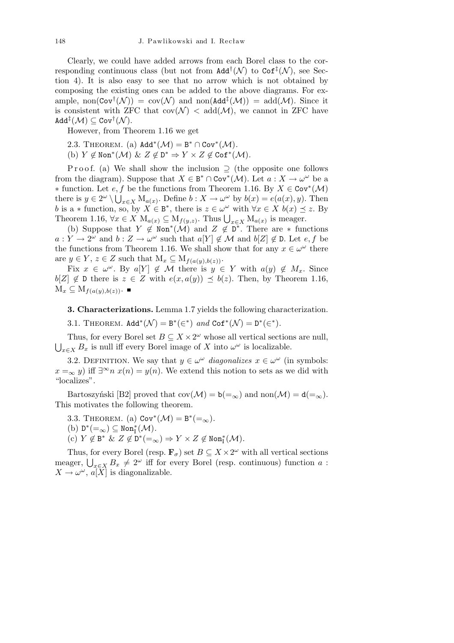Clearly, we could have added arrows from each Borel class to the corresponding continuous class (but not from  $\text{Add}^{\dagger}(\mathcal{N})$  to  $\text{Cof}^{\ddagger}(\mathcal{N})$ , see Section 4). It is also easy to see that no arrow which is not obtained by composing the existing ones can be added to the above diagrams. For example,  $\text{non}(\text{Cov}^{\dagger}(\mathcal{N})) = \text{cov}(\mathcal{N})$  and  $\text{non}(\text{Add}^{\ddagger}(\mathcal{M})) = \text{add}(\mathcal{M})$ . Since it is consistent with ZFC that  $cov(\mathcal{N}) < add(\mathcal{M})$ , we cannot in ZFC have  $\mathtt{Add}^\ddagger(\mathcal{M})\subseteq \mathtt{Cov}^\dagger(\mathcal{N}).$ 

However, from Theorem 1.16 we get

2.3. THEOREM. (a)  $Add^*(\mathcal{M}) = B^* \cap Cov^*(\mathcal{M})$ .

(b)  $Y \notin \text{Non}^*(\mathcal{M}) \& Z \notin \mathbb{D}^* \Rightarrow Y \times Z \notin \text{Cof}^*(\mathcal{M}).$ 

P r o o f. (a) We shall show the inclusion ⊃ (the opposite one follows from the diagram). Suppose that  $X \in B^* \cap Cov^*(\mathcal{M})$ . Let  $a: X \to \omega^\omega$  be a *∗* function. Let *e, f* be the functions from Theorem 1.16. By *X* ∈ Cov<sup>\*</sup>(*M*) there is  $y \in 2^{\omega} \setminus \bigcup_{x \in X} M_{a(x)}$ . Define  $b: X \to \omega^{\omega}$  by  $b(x) = e(a(x), y)$ . Then *b* is a  $*$  function, so, by  $X \in \mathbb{B}^*$ , there is  $z \in \omega^\omega$  with  $\forall x \in X$   $b(x) \preceq z$ . By Theorem 1.16,  $\forall x \in X \ M_{a(x)} \subseteq M_{f(y,z)}$ . Thus  $\bigcup_{x \in X} M_{a(x)}$  is meager.

(b) Suppose that  $Y \notin \text{Non}^*(\mathcal{M})$  and  $Z \notin \mathbb{D}^*$ . There are  $*$  functions  $a: Y \to 2^{\omega}$  and  $b: Z \to \omega^{\omega}$  such that  $a[Y] \notin \mathcal{M}$  and  $b[Z] \notin \mathcal{D}$ . Let *e, f* be the functions from Theorem 1.16. We shall show that for any  $x \in \omega^{\omega}$  there are  $y \in Y$ ,  $z \in Z$  such that  $M_x \subseteq M_{f(a(y),b(z))}$ .

Fix  $x \in \omega^{\omega}$ . By  $a[Y] \notin \mathcal{M}$  there is  $y \in Y$  with  $a(y) \notin M_x$ . Since  $b[Z] \notin \mathcal{D}$  there is  $z \in Z$  with  $e(x, a(y)) \preceq b(z)$ . Then, by Theorem 1.16,  $M_x \subseteq M_{f(a(y),b(z))}$ .

**3. Characterizations.** Lemma 1.7 yields the following characterization.

3.1. THEOREM.  $Add^*(\mathcal{N}) = B^*(\epsilon^*)$  and  $Cof^*(\mathcal{N}) = D^*(\epsilon^*)$ .

Thus, for every Borel set  $B \subseteq X \times 2^{\omega}$  whose all vertical sections are null, S  $x \in X$  *B*<sub>*x*</sub> is null iff every Borel image of *X* into  $\omega^{\omega}$  is localizable.

3.2. DEFINITION. We say that  $y \in \omega^\omega$  *diagonalizes*  $x \in \omega^\omega$  (in symbols:  $x = ∞$  *y*) iff  $\exists^\infty n$  *x*(*n*) = *y*(*n*). We extend this notion to sets as we did with "localizes".

Bartoszyński [B2] proved that  $cov(\mathcal{M}) = b(=\infty)$  and  $non(\mathcal{M}) = d(=\infty)$ . This motivates the following theorem.

3.3. THEOREM. (a)  $Cov^*(\mathcal{M}) = B^*(-_{\infty})$ .

- $(b)$   $D^*(-_{\infty}) \subseteq \text{Non}^*_I(\mathcal{M})$ .
- $\text{(c)} \ Y \not\in \texttt{B}^* \ \& \ Z \not\in \texttt{D}^* ( =_\infty \text{)} \Rightarrow Y \times Z \not\in \texttt{Non}_\texttt{I}^* ( \mathcal{M} ).$

Thus, for every Borel (resp.  $\mathbf{F}_{\sigma}$ ) set  $B \subseteq X \times 2^{\omega}$  with all vertical sections **i** nus, for every boret (resp. **r**<sub>*σ*</sub>) set *B* ⊆ *A* × *Z*<sup>*w*</sup> with an vertical sections meager,  $\bigcup_{x \in X} B_x \neq 2^\omega$  iff for every Borel (resp. continuous) function *a* :  $X \to \omega^\omega$ ,  $\tilde{a[X]}$  is diagonalizable.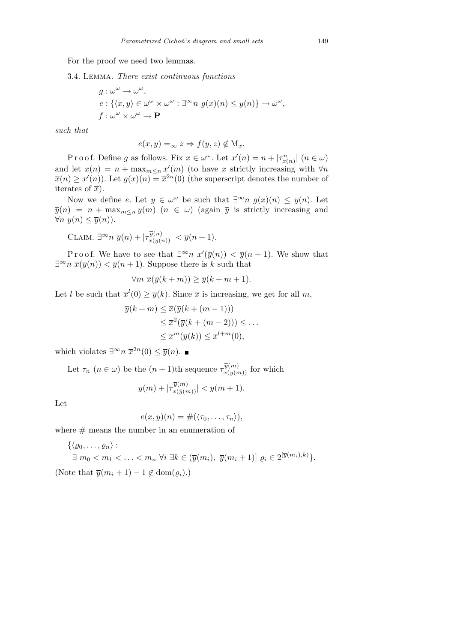## For the proof we need two lemmas.

3.4. Lemma. *There exist continuous functions*

$$
g: \omega^{\omega} \to \omega^{\omega},
$$
  
\n
$$
e: \{\langle x, y \rangle \in \omega^{\omega} \times \omega^{\omega} : \exists^{\infty} n \ g(x)(n) \leq y(n) \} \to \omega^{\omega},
$$
  
\n
$$
f: \omega^{\omega} \times \omega^{\omega} \to \mathbf{P}
$$

*such that*

$$
e(x, y) =_{\infty} z \Rightarrow f(y, z) \notin M_x.
$$

Proof. Define *g* as follows. Fix  $x \in \omega^{\omega}$ . Let  $x'(n) = n + |\tau^n_{x(n)}|$   $(n \in \omega)$ and let  $\bar{x}(n) = n + \max_{m \leq n} x'(m)$  (to have  $\bar{x}$  strictly increasing with  $\forall n$  $\overline{x}(n) \geq x'(n)$ ). Let  $g(x)(n) = \overline{x}^{2n}(0)$  (the superscript denotes the number of iterates of  $\overline{x}$ ).

Now we define *e*. Let  $y \in \omega^\omega$  be such that  $\exists^\infty n \ g(x)(n) \leq y(n)$ . Let  $\overline{y}(n) = n + \max_{m \le n} y(m)$  (*n*  $\in \omega$ ) (again  $\overline{y}$  is strictly increasing and *∀n*  $y(n)$   $\leq \overline{y}(n)$ ).

CLAIM. 
$$
\exists^{\infty} n \overline{y}(n) + |\tau_{x(\overline{y}(n))}^{\overline{y}(n)}| < \overline{y}(n+1).
$$

Proof. We have to see that  $\exists^{\infty} n \ x'(\overline{y}(n)) < \overline{y}(n+1)$ . We show that *∃*<sup>∞</sup>*n*  $\overline{x}(\overline{y}(n)) < \overline{y}(n+1)$ . Suppose there is *k* such that

$$
\forall m \ \overline{x}(\overline{y}(k+m)) \ge \overline{y}(k+m+1).
$$

Let *l* be such that  $\bar{x}^l(0) \geq \bar{y}(k)$ . Since  $\bar{x}$  is increasing, we get for all m,

$$
\overline{y}(k+m) \leq \overline{x}(\overline{y}(k+(m-1)))
$$
  
\n
$$
\leq \overline{x}^2(\overline{y}(k+(m-2))) \leq \dots
$$
  
\n
$$
\leq \overline{x}^m(\overline{y}(k)) \leq \overline{x}^{l+m}(0),
$$

which violates  $\exists^{\infty} n \ \overline{x}^{2n}(0) \leq \overline{y}(n)$ .

Let  $\tau_n$   $(n \in \omega)$  be the  $(n+1)$ <sup>th</sup> sequence  $\tau_{x(\overline{y}(m))}^{\overline{y}(m)}$  for which

$$
\overline{y}(m) + |\tau_{x(\overline{y}(m))}^{\overline{y}(m)}| < \overline{y}(m+1).
$$

Let

$$
e(x, y)(n) = \#(\langle \tau_0, \ldots, \tau_n \rangle),
$$

where  $#$  means the number in an enumeration of

$$
\{\langle \varrho_0, \ldots, \varrho_n \rangle : \exists m_0 < m_1 < \ldots < m_n \; \forall i \; \exists k \in (\overline{y}(m_i), \; \overline{y}(m_i+1)] \; \varrho_i \in 2^{[\overline{y}(m_i), k)} \}.
$$
\n(Note that  $\overline{y}(m_i+1) - 1 \notin \text{dom}(\varrho_i)$ .)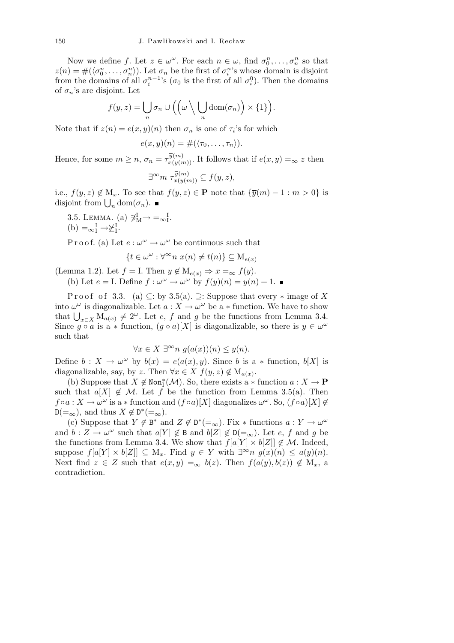Now we define *f*. Let  $z \in \omega^{\omega}$ . For each  $n \in \omega$ , find  $\sigma_0^n, \ldots, \sigma_n^n$  so that  $z(n) = #(\langle \sigma_0^n, \ldots, \sigma_n^n \rangle)$ . Let  $\sigma_n$  be the first of  $\sigma_i^n$ 's whose domain is disjoint from the domains of all  $\sigma_i^{n-1}$ 's ( $\sigma_0$  is the first of all  $\sigma_i^0$ ). Then the domains of  $\sigma_n$ 's are disjoint. Let

$$
f(y,z) = \bigcup_n \sigma_n \cup \Big( \Big( \omega \setminus \bigcup_n \text{dom}(\sigma_n) \Big) \times \{1\} \Big).
$$

Note that if  $z(n) = e(x, y)(n)$  then  $\sigma_n$  is one of  $\tau_i$ 's for which

$$
e(x,y)(n) = \#(\langle \tau_0,\ldots,\tau_n \rangle).
$$

Hence, for some  $m \ge n$ ,  $\sigma_n = \tau_{x(\overline{y}(m))}^{\overline{y}(m)}$ . It follows that if  $e(x, y) =_{\infty} z$  then

$$
\exists^{\infty} m \ \tau_{x(\overline{y}(m))}^{\overline{y}(m)} \subseteq f(y,z),
$$

i.e.,  $f(y, z) \notin M_x$ . To see that  $f(y, z) \in \mathbf{P}$  note that  $\{\overline{y}(m) - 1 : m > 0\}$  is  $\lim_{n \to \infty} J(y, z) \notin M_x$ . To see the disjoint from  $\bigcup_n \text{dom}(\sigma_n)$ .

3.5. LEMMA. (a)  $\overline{\neq}^{\text{I}}_{\text{M}} \rightarrow = \infty^{\text{I}}_{\text{I}}$ .  $(b) = \infty$ <sup>I</sup><sub>I</sub> →  $\angle$ <sup>I</sup><sub>I</sub><sub></sub>.

P r o o f. (a) Let  $e: \omega^{\omega} \to \omega^{\omega}$  be continuous such that

$$
\{t \in \omega^{\omega} : \forall^{\infty} n \ x(n) \neq t(n)\} \subseteq M_{e(x)}
$$

(Lemma 1.2). Let  $f = I$ . Then  $y \notin M_{e(x)} \Rightarrow x = \infty$   $f(y)$ .

(b) Let  $e = I$ . Define  $f : \omega^{\omega} \to \omega^{\omega}$  by  $f(y)(n) = y(n) + 1$ .

P r o o f o f 3.3. (a)  $\subseteq$ : by 3.5(a).  $\supseteq$ : Suppose that every  $*$  image of X into  $\omega^{\omega}$  is diagonalizable. Let  $a: X \to \omega^{\omega}$  be a  $*$  function. We have to show that  $\bigcup_{x \in X} M_{a(x)} \neq 2^{\omega}$ . Let *e*, *f* and *g* be the functions from Lemma 3.4. Since  $g \circ a$  is a  $*$  function,  $(g \circ a)[X]$  is diagonalizable, so there is  $y \in \omega^{\omega}$ such that

$$
\forall x \in X \; \exists^{\infty} n \; g(a(x))(n) \leq y(n).
$$

Define  $b: X \to \omega^\omega$  by  $b(x) = e(a(x), y)$ . Since *b* is a *\** function,  $b[X]$  is diagonalizable, say, by *z*. Then  $\forall x \in X$   $f(y, z) \notin M_{a(x)}$ .

(b) Suppose that  $X \notin \text{Non}^*_I(\mathcal{M})$ . So, there exists a  $*$  function  $a: X \to \mathbf{P}$ such that  $a[X] \notin \mathcal{M}$ . Let f be the function from Lemma 3.5(a). Then  $f \circ a : X \to \omega^\omega$  is a  $*$  function and  $(f \circ a)[X]$  diagonalizes  $\omega^\omega$ . So,  $(f \circ a)[X] \notin$  $D(=\infty)$ , and thus  $X \notin D^*(=\infty)$ .

(c) Suppose that  $Y \notin \mathbb{B}^*$  and  $Z \notin \mathbb{D}^*(=_{\infty})$ . Fix  $*$  functions  $a: Y \to \omega^\omega$ and  $b: Z \to \omega^\omega$  such that  $a[Y] \notin B$  and  $b[Z] \notin D(=\infty)$ . Let *e*, *f* and *g* be the functions from Lemma 3.4. We show that  $f[a|Y] \times b[Z] \notin \mathcal{M}$ . Indeed, suppose  $f[a|Y] \times b[Z] \subseteq M_x$ . Find  $y \in Y$  with  $\exists^\infty n \ g(x)(n) \leq a(y)(n)$ . Next find  $z \in Z$  such that  $e(x, y) = \infty$   $b(z)$ . Then  $f(a(y), b(z)) \notin M_x$ , a contradiction.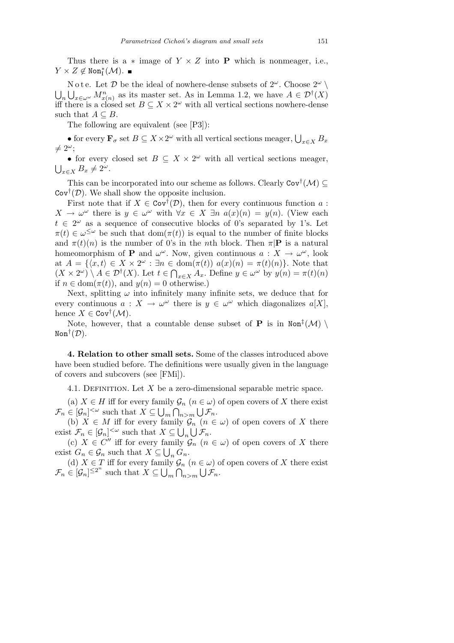Thus there is a  $*$  image of  $Y \times Z$  into **P** which is nonmeager, i.e.,  $Y \times Z \notin \text{Non}^*_I(\mathcal{M}).$ 

N o t e. Let  $\mathcal{D}$  be the ideal of nowhere-dense subsets of  $2^{\omega}$ . Choose  $2^{\omega}$   $\setminus$ S  $\int_{x \in \omega} M_{x(n)}^n$  as its master set. As in Lemma 1.2, we have  $A \in \mathcal{D}^{\dagger}(X)$ iff there is a closed set  $B \subseteq X \times 2^{\omega}$  with all vertical sections nowhere-dense such that  $A \subseteq B$ .

The following are equivalent (see [P3]):

• for every  $\mathbf{F}_{\sigma}$  set  $B \subseteq X \times 2^{\omega}$  with all vertical sections meager,  $\bigcup_{x \in X} B_x$  $\neq 2^{\omega}$ :

• for every closed set  $B \subseteq X \times 2^{\omega}$  with all vertical sections meager,  $\bigcup_{x \in X} B_x \neq 2^{\omega}$ .

This can be incorporated into our scheme as follows. Clearly  $\text{Cov}^{\dagger}(\mathcal{M}) \subseteq$  $\text{Cov}^{\dagger}(\mathcal{D})$ . We shall show the opposite inclusion.

First note that if  $X \in \text{Cov}^{\dagger}(\mathcal{D})$ , then for every continuous function *a*:  $X \to \omega^\omega$  there is  $y \in \omega^\omega$  with  $\forall x \in X$   $\exists n \ a(x)(n) = y(n)$ . (View each  $t \in 2^{\omega}$  as a sequence of consecutive blocks of 0's separated by 1's. Let  $\pi(t) \in \omega^{\leq \omega}$  be such that  $dom(\pi(t))$  is equal to the number of finite blocks and  $\pi(t)(n)$  is the number of 0's in the *n*th block. Then  $\pi|\mathbf{P}$  is a natural homeomorphism of **P** and  $\omega^{\omega}$ . Now, given continuous  $a: X \to \omega^{\omega}$ , look at  $A = \{(x, t) \in X \times 2^{\omega} : \exists n \in \text{dom}(\pi(t)) \ a(x)(n) = \pi(t)(n)\}.$  Note that  $(X \times 2^{\omega}) \setminus A \in \mathcal{D}^{\dagger}(X)$ . Let  $t \in \bigcap_{x \in X} A_x$ . Define  $y \in \omega^{\omega}$  by  $y(n) = \pi(t)(n)$ if  $n \in \text{dom}(\pi(t))$ , and  $y(n) = 0$  otherwise.)

Next, splitting  $\omega$  into infinitely many infinite sets, we deduce that for every continuous  $a: X \to \omega^\omega$  there is  $y \in \omega^\omega$  which diagonalizes  $a[X]$ , hence  $X \in \text{Cov}^{\dagger}(\mathcal{M})$ .

Note, however, that a countable dense subset of **P** is in  $\text{Non}^{\ddagger}(\mathcal{M})$ Non*†* (*D*).

**4. Relation to other small sets.** Some of the classes introduced above have been studied before. The definitions were usually given in the language of covers and subcovers (see [FMi]).

4.1. DEFINITION. Let *X* be a zero-dimensional separable metric space.

(a) *X* ∈ *H* iff for every family  $\mathcal{G}_n$  ( $n \in \omega$ ) of open covers of *X* there exist  $\mathcal{F}_n \in [\mathcal{G}_n]^{<\omega}$  such that  $X \subseteq \bigcup_m \bigcap_{n>m} \bigcup \mathcal{F}_n$ .

(b) *X* ∈ *M* iff for every family  $\mathcal{G}_n$  (*n* ∈ *ω*) of open covers of *X* there exist  $\mathcal{F}_n \in [\mathcal{G}_n]^{<\omega}$  such that  $X \subseteq \bigcup_n \bigcup \mathcal{F}_n$ .

(c) *X* ∈ *C*<sup>*n*</sup> iff for every family  $\mathcal{G}_n$  (*n* ∈ *ω*) of open covers of *X* there exist  $G_n \in \mathcal{G}_n$  such that  $X \subseteq \bigcup_n G_n$ .

(d) *X* ∈ *T* iff for every family  $\mathcal{G}_n$  (*n* ∈ *ω*) of open covers of *X* there exist  $\mathcal{F}_n \in [\mathcal{G}_n]^{\leq 2^n}$  such that  $X \subseteq \bigcup_m \bigcap_{n>m} \bigcup \mathcal{F}_n$ .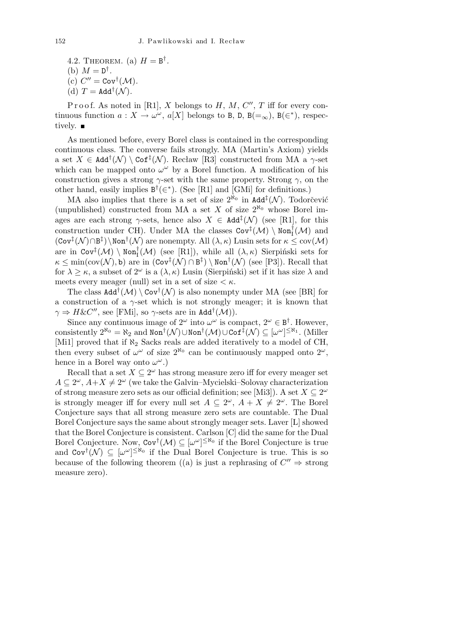4.2. THEOREM. (a)  $H = B^{\dagger}$ . (b)  $M = D^{\dagger}$ . (c)  $C'' = \text{Cov}^{\dagger}(\mathcal{M})$ .

(d)  $T = \text{Add}^{\dagger}(\mathcal{N})$ .

Proof. As noted in [R1], *X* belongs to *H*, *M*,  $C''$ , *T* iff for every continuous function  $a: X \to \omega^\omega$ ,  $a[X]$  belongs to B, D, B(=<sub>∞</sub>), B( $\in$ <sup>\*</sup>), respectively.  $\blacksquare$ 

As mentioned before, every Borel class is contained in the corresponding continuous class. The converse fails strongly. MA (Martin's Axiom) yields a set  $X \in \text{Add}^{\dagger}(\mathcal{N}) \setminus \text{Cof}^{\ddagger}(\mathcal{N})$ . Recław [R3] constructed from MA a  $\gamma$ -set which can be mapped onto  $\omega^{\omega}$  by a Borel function. A modification of his construction gives a strong  $\gamma$ -set with the same property. Strong  $\gamma$ , on the other hand, easily implies  $B^{\dagger}(\epsilon^*)$ . (See [R1] and [GMi] for definitions.)

MA also implies that there is a set of size  $2^{\aleph_0}$  in Add<sup>‡</sup>(N). Todorčević (unpublished) constructed from MA a set *X* of size  $2^{\aleph_0}$  whose Borel images are each strong  $\gamma$ -sets, hence also  $X \in \text{Add}^{\ddagger}(\mathcal{N})$  (see [R1], for this construction under CH). Under MA the classes  $\text{Cov}^{\ddagger}(\mathcal{M}) \setminus \text{Non}_{I}^{\dagger}(\mathcal{M})$  and  $(\text{Cov}^{\ddagger}(\mathcal{N}) \cap B^{\ddagger})$  \Non<sup>†</sup> $(\mathcal{N})$  are nonempty. All  $(\lambda, \kappa)$  Lusin sets for  $\kappa \leq \text{cov}(\mathcal{M})$ are in  $\text{Cov}^{\ddagger}(\mathcal{M}) \setminus \text{Non}_{I}^{\dagger}(\mathcal{M})$  (see [R1]), while all  $(\lambda, \kappa)$  Sierpiński sets for  $\kappa \le \min(\text{cov}(\mathcal{N}), \mathbf{b})$  are in  $(\text{Cov}^{\ddagger}(\mathcal{N}) \cap \mathbf{B}^{\ddagger}) \setminus \text{Non}^{\dagger}(\mathcal{N})$  (see [P3]). Recall that for  $\lambda > \kappa$ , a subset of  $2^{\omega}$  is a  $(\lambda, \kappa)$  Lusin (Sierpiński) set if it has size  $\lambda$  and meets every meager (null) set in a set of size  $\lt \kappa$ .

The class  $\text{Add}^\dagger(\mathcal{M}) \setminus \text{Cov}^\dagger(\mathcal{N})$  is also nonempty under MA (see [BR] for a construction of a  $\gamma$ -set which is not strongly meager; it is known that  $\gamma \Rightarrow H \& C''$ , see [FMi], so  $\gamma$ -sets are in Add<sup>†</sup>(M)).

Since any continuous image of  $2^{\omega}$  into  $\omega^{\omega}$  is compact,  $2^{\omega} \in B^{\dagger}$ . However,  $\text{consistently } 2^{\aleph_0} = \aleph_2 \text{ and } \text{Non}^\dagger(\mathcal{N}) \cup \text{Non}^\dagger(\mathcal{M}) \cup \text{Cof}^\ddagger(\mathcal{N}) \subseteq [\omega^\omega]^{\leq \aleph_1}$ . (Miller [Mi1] proved that if  $\aleph_2$  Sacks reals are added iteratively to a model of CH, then every subset of  $\omega^{\omega}$  of size  $2^{\aleph_0}$  can be continuously mapped onto  $2^{\omega}$ , hence in a Borel way onto *ω <sup>ω</sup>*.)

Recall that a set  $X \subseteq 2^{\omega}$  has strong measure zero iff for every meager set  $A \subseteq 2^{\omega}, A + X \neq 2^{\omega}$  (we take the Galvin–Mycielski–Solovay characterization of strong measure zero sets as our official definition; see [Mi3]). A set  $X \subseteq 2^{\omega}$ is strongly meager iff for every null set  $A \subseteq 2^{\omega}$ ,  $A + X \neq 2^{\omega}$ . The Borel Conjecture says that all strong measure zero sets are countable. The Dual Borel Conjecture says the same about strongly meager sets. Laver [L] showed that the Borel Conjecture is consistent. Carlson [C] did the same for the Dual Borel Conjecture. Now,  $Cov^{\dagger}(\mathcal{M}) \subseteq [\omega^{\omega}]^{\leq \aleph_0}$  if the Borel Conjecture is true and  $\text{Cov}^{\dagger}(\mathcal{N}) \subseteq [\omega^{\omega}]^{\leq \aleph_0}$  if the Dual Borel Conjecture is true. This is so because of the following theorem ((a) is just a rephrasing of  $C'' \Rightarrow$  strong measure zero).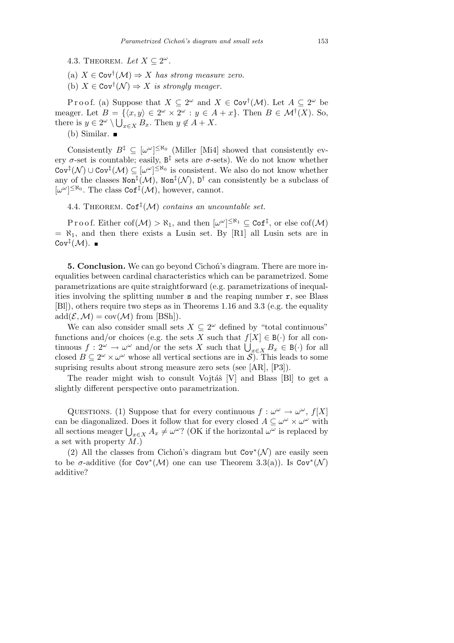- 4.3. THEOREM. Let  $X \subseteq 2^{\omega}$ .
- (a) *X ∈* Cov*†* (*M*) *⇒ X has strong measure zero.*
- (b)  $X \in \text{Cov}^{\dagger}(\mathcal{N}) \Rightarrow X$  *is strongly meager.*

Proof. (a) Suppose that  $X \subseteq 2^{\omega}$  and  $X \in \text{Cov}^{\dagger}(\mathcal{M})$ . Let  $A \subseteq 2^{\omega}$  be meager. Let  $B = \{(x, y) \in 2^{\omega} \times 2^{\omega} : y \in A + x\}$ . Then  $B \in \mathcal{M}^{\dagger}(X)$ . So, there is  $y \in 2^{\omega} \setminus \bigcup_{x \in X} B_x$ . Then  $y \notin A + X$ .

(b) Similar.  $\blacksquare$ 

Consistently  $B^{\ddagger} \subseteq [\omega^{\omega}]^{\leq \aleph_0}$  (Miller [Mi4] showed that consistently every  $\sigma$ -set is countable; easily,  $B^{\ddagger}$  sets are  $\sigma$ -sets). We do not know whether  $\text{Cov}^{\ddagger}(\mathcal{N}) \cup \text{Cov}^{\ddagger}(\mathcal{M}) \subseteq [\omega^{\omega}]^{\leq \aleph_0}$  is consistent. We also do not know whether any of the classes  $\text{Non}^{\ddagger}(\mathcal{M})$ ,  $\text{Non}^{\ddagger}(\mathcal{N})$ ,  $\mathbb{D}^{\dagger}$  can consistently be a subclass of  $[\omega^{\omega}]^{\leq \aleph_0}$ . The class Cof<sup>‡</sup>( $\mathcal{M}$ ), however, cannot.

4.4. Theorem. Cof*‡* (*M*) *contains an uncountable set.*

Proof. Either  $\text{cof}(\mathcal{M}) > \aleph_1$ , and then  $[\omega^\omega]^{\leq \aleph_1} \subseteq \text{Cof}^{\ddagger}$ , or else  $\text{cof}(\mathcal{M})$  $= \aleph_1$ , and then there exists a Lusin set. By [R1] all Lusin sets are in  $\mathtt{Cov}^\ddagger(\mathcal{M}).$ 

**5. Conclusion.** We can go beyond Cichoń's diagram. There are more inequalities between cardinal characteristics which can be parametrized. Some parametrizations are quite straightforward (e.g. parametrizations of inequalities involving the splitting number s and the reaping number r, see Blass [Bl]), others require two steps as in Theorems 1.16 and 3.3 (e.g. the equality  $\mathrm{add}(\mathcal{E},\mathcal{M})=\mathrm{cov}(\mathcal{M})$  from  $|B\mathrm{Sh}|$ ).

We can also consider small sets  $X \subseteq 2^{\omega}$  defined by "total continuous" functions and/or choices (e.g. the sets *X* such that  $f[X] \in B(\cdot)$  for all continuous  $f: 2^{\omega} \to \omega^{\omega}$  and/or the sets *X* such that  $\bigcup_{x \in X} B_x \in B(\cdot)$  for all closed  $B \subseteq 2^{\omega} \times \omega^{\omega}$  whose all vertical sections are in *S*). This leads to some suprising results about strong measure zero sets (see [AR], [P3]).

The reader might wish to consult Vojtáš  $[V]$  and Blass  $[B]$  to get a slightly different perspective onto parametrization.

QUESTIONS. (1) Suppose that for every continuous  $f: \omega^{\omega} \to \omega^{\omega}$ ,  $f[X]$ can be diagonalized. Does it follow that for every closed  $A \subseteq \omega^{\omega} \times \omega^{\omega}$  with can be diagonalized. Does it follow that for every closed  $A \subseteq \omega \times \omega$  with<br>all sections meager  $\bigcup_{x \in X} A_x \neq \omega^{\omega}$ ? (OK if the horizontal  $\omega^{\omega}$  is replaced by a set with property *M*.)

(2) All the classes from Cichoń's diagram but Cov*<sup>∗</sup>* (*N* ) are easily seen to be  $\sigma$ -additive (for Cov<sup>\*</sup>( $\mathcal{M}$ ) one can use Theorem 3.3(a)). Is Cov<sup>\*</sup>( $\mathcal{N}$ ) additive?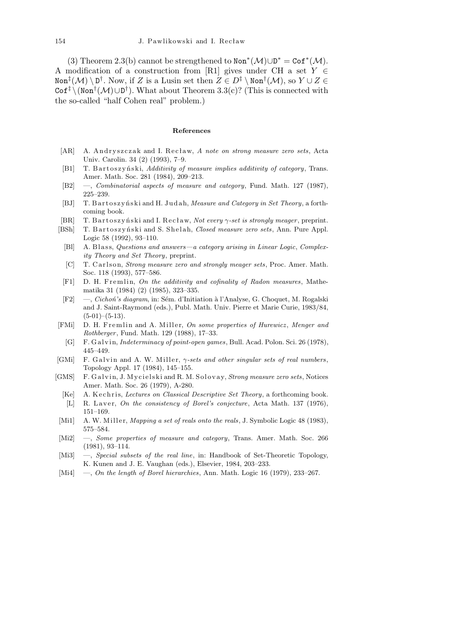(3) Theorem 2.3(b) cannot be strengthened to  $\text{Non}^*(\mathcal{M}) \cup \text{D}^* = \text{Cof}^*(\mathcal{M})$ . A modification of a construction from [R1] gives under CH a set *Y ∈*  $X$ <sup>t</sup> $(X) \setminus D^{\dagger}$ . Now, if *Z* is a Lusin set then  $Z \in D^{\ddagger} \setminus \text{Non}^{\dagger}(\mathcal{M})$ , so  $Y \cup Z \in D^{\ddagger}$ Cof*‡ \*(Non*†* (*M*)*∪*D *†* ). What about Theorem 3.3(c)? (This is connected with the so-called "half Cohen real" problem.)

## **References**

- [AR] A. Andryszczak and I. Recław, *A note on strong measure zero sets*, Acta Univ. Carolin. 34 (2) (1993), 7–9.
- [B1] T. B artoszynski, *Additivity of measure implies additivity of category*, Trans. Amer. Math. Soc. 281 (1984), 209–213.
- [B2] —, *Combinatorial aspects of measure and category*, Fund. Math. 127 (1987), 225–239.
- [BJ] T. B artoszy ński and H. Judah, *Measure and Category in Set Theory*, a forthcoming book.
- [BR] T. B a r t o s z y ń s ki and I. R e c ł aw, *Not every γ-set is strongly meager* , preprint.
- [BSh] T. B art oszyński and S. Shelah, *Closed measure zero sets*, Ann. Pure Appl. Logic 58 (1992), 93–110.
	- [Bl] A. Blass, *Questions and answers—a category arising in Linear Logic*, *Complexity Theory and Set Theory*, preprint.
	- [C] T. Carlson, *Strong measure zero and strongly meager sets*, Proc. Amer. Math. Soc. 118 (1993), 577–586.
	- [F1] D. H. Fremlin, *On the additivity and cofinality of Radon measures*, Mathematika 31 (1984) (2) (1985), 323–335.
- [F2] —, *Cichoń's diagram*, in: Sém. d'Initiation à l'Analyse, G. Choquet, M. Rogalski and J. Saint-Raymond (eds.), Publ. Math. Univ. Pierre et Marie Curie, 1983/84,  $(5-01)$ – $(5-13)$ .
- [FMi] D. H. Fremlin and A. Miller, *On some properties of Hurewicz*, *Menger and Rothberger* , Fund. Math. 129 (1988), 17–33.
- [G] F. G al vi n, *Indeterminacy of point-open games*, Bull. Acad. Polon. Sci. 26 (1978), 445–449.
- [GMi] F. Galvin and A. W. Miller, *γ-sets and other singular sets of real numbers*, Topology Appl. 17 (1984), 145–155.
- [GMS] F. Galvin, J. Mycielski and R. M. Solovay, *Strong measure zero sets*, Notices Amer. Math. Soc. 26 (1979), A-280.
	- [Ke] A. K echnis, *Lectures on Classical Descriptive Set Theory*, a forthcoming book.
	- [L] R. Laver, *On the consistency of Borel's conjecture*, Acta Math. 137 (1976), 151–169.
- [Mi1] A. W. Miller, *Mapping a set of reals onto the reals*, J. Symbolic Logic 48 (1983), 575–584.
- [Mi2] —, *Some properties of measure and category*, Trans. Amer. Math. Soc. 266 (1981), 93–114.
- [Mi3] —, *Special subsets of the real line*, in: Handbook of Set-Theoretic Topology, K. Kunen and J. E. Vaughan (eds.), Elsevier, 1984, 203–233.
- [Mi4] —, *On the length of Borel hierarchies*, Ann. Math. Logic 16 (1979), 233–267.